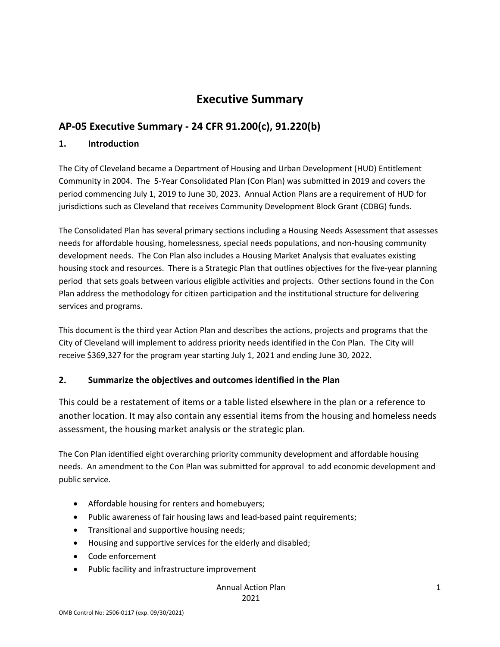## **Executive Summary**

## **AP‐05 Executive Summary ‐ 24 CFR 91.200(c), 91.220(b)**

#### **1. Introduction**

The City of Cleveland became a Department of Housing and Urban Development (HUD) Entitlement Community in 2004. The 5‐Year Consolidated Plan (Con Plan) was submitted in 2019 and covers the period commencing July 1, 2019 to June 30, 2023. Annual Action Plans are a requirement of HUD for jurisdictions such as Cleveland that receives Community Development Block Grant (CDBG) funds.

The Consolidated Plan has several primary sections including a Housing Needs Assessment that assesses needs for affordable housing, homelessness, special needs populations, and non‐housing community development needs. The Con Plan also includes a Housing Market Analysis that evaluates existing housing stock and resources. There is a Strategic Plan that outlines objectives for the five‐year planning period that sets goals between various eligible activities and projects. Other sections found in the Con Plan address the methodology for citizen participation and the institutional structure for delivering services and programs.

This document is the third year Action Plan and describes the actions, projects and programs that the City of Cleveland will implement to address priority needs identified in the Con Plan. The City will receive \$369,327 for the program year starting July 1, 2021 and ending June 30, 2022.

#### **2. Summarize the objectives and outcomes identified in the Plan**

This could be a restatement of items or a table listed elsewhere in the plan or a reference to another location. It may also contain any essential items from the housing and homeless needs assessment, the housing market analysis or the strategic plan.

The Con Plan identified eight overarching priority community development and affordable housing needs. An amendment to the Con Plan was submitted for approval to add economic development and public service.

- Affordable housing for renters and homebuyers;
- Public awareness of fair housing laws and lead-based paint requirements;
- **•** Transitional and supportive housing needs;
- Housing and supportive services for the elderly and disabled;
- Code enforcement
- Public facility and infrastructure improvement

#### Annual Action Plan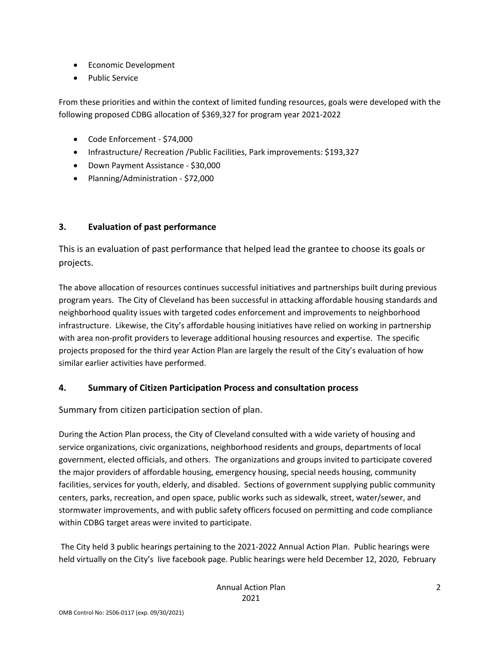- Economic Development
- Public Service

From these priorities and within the context of limited funding resources, goals were developed with the following proposed CDBG allocation of \$369,327 for program year 2021‐2022

- Code Enforcement ‐ \$74,000
- Infrastructure/ Recreation / Public Facilities, Park improvements: \$193,327
- Down Payment Assistance \$30,000
- Planning/Administration \$72,000

#### **3. Evaluation of past performance**

This is an evaluation of past performance that helped lead the grantee to choose its goals or projects.

The above allocation of resources continues successful initiatives and partnerships built during previous program years. The City of Cleveland has been successful in attacking affordable housing standards and neighborhood quality issues with targeted codes enforcement and improvements to neighborhood infrastructure. Likewise, the City's affordable housing initiatives have relied on working in partnership with area non-profit providers to leverage additional housing resources and expertise. The specific projects proposed for the third year Action Plan are largely the result of the City's evaluation of how similar earlier activities have performed.

#### **4. Summary of Citizen Participation Process and consultation process**

Summary from citizen participation section of plan.

During the Action Plan process, the City of Cleveland consulted with a wide variety of housing and service organizations, civic organizations, neighborhood residents and groups, departments of local government, elected officials, and others. The organizations and groups invited to participate covered the major providers of affordable housing, emergency housing, special needs housing, community facilities, services for youth, elderly, and disabled. Sections of government supplying public community centers, parks, recreation, and open space, public works such as sidewalk, street, water/sewer, and stormwater improvements, and with public safety officers focused on permitting and code compliance within CDBG target areas were invited to participate.

The City held 3 public hearings pertaining to the 2021‐2022 Annual Action Plan. Public hearings were held virtually on the City's live facebook page. Public hearings were held December 12, 2020, February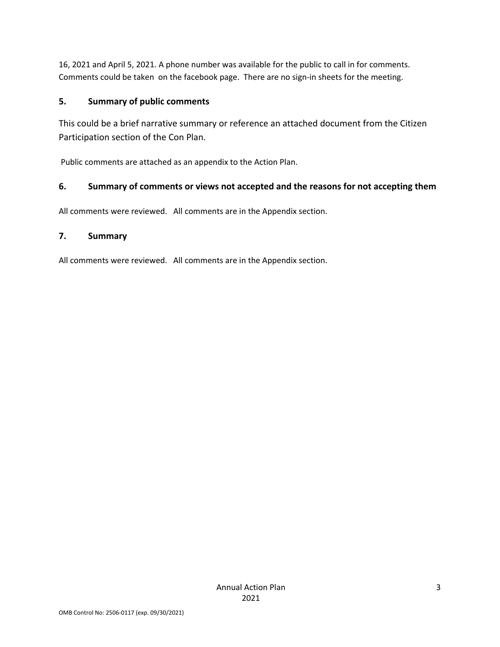16, 2021 and April 5, 2021. A phone number was available for the public to call in for comments. Comments could be taken on the facebook page. There are no sign-in sheets for the meeting.

### **5. Summary of public comments**

This could be a brief narrative summary or reference an attached document from the Citizen Participation section of the Con Plan.

Public comments are attached as an appendix to the Action Plan.

### **6. Summary of comments or views not accepted and the reasons for not accepting them**

All comments were reviewed. All comments are in the Appendix section.

#### **7. Summary**

All comments were reviewed. All comments are in the Appendix section.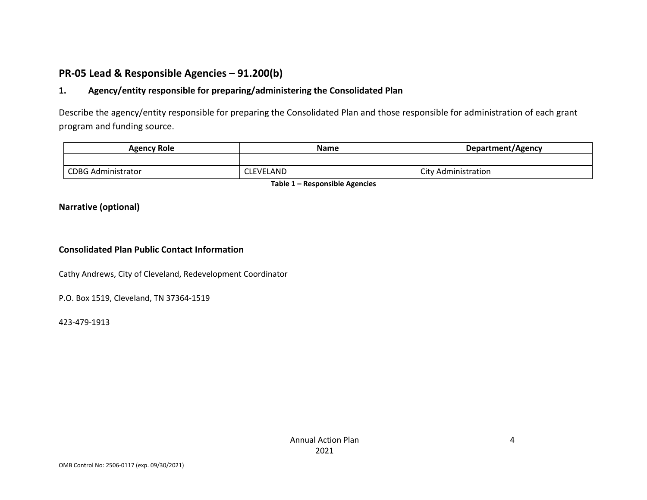## **PR‐05 Lead & Responsible Agencies – 91.200(b)**

#### **1.Agency/entity responsible for preparing/administering the Consolidated Plan**

Describe the agency/entity responsible for preparing the Consolidated Plan and those responsible for administration of each grant program and funding source.

| Agency Role               | <b>Name</b>      | Department/Agency   |
|---------------------------|------------------|---------------------|
|                           |                  |                     |
| <b>CDBG Administrator</b> | <b>CLEVELAND</b> | City Administration |

**Table 1 – Responsible Agencies**

#### **Narrative (optional)**

#### **Consolidated Plan Public Contact Information**

Cathy Andrews, City of Cleveland, Redevelopment Coordinator

P.O. Box 1519, Cleveland, TN 37364‐1519

423‐479‐1913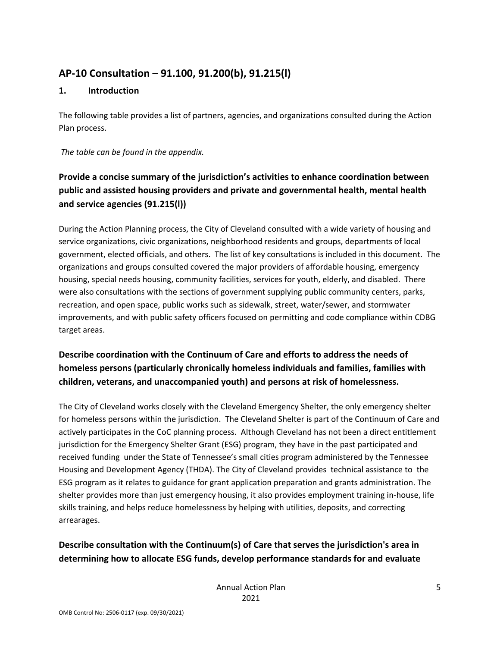## **AP‐10 Consultation – 91.100, 91.200(b), 91.215(l)**

#### **1. Introduction**

The following table provides a list of partners, agencies, and organizations consulted during the Action Plan process.

*The table can be found in the appendix.*

## **Provide a concise summary of the jurisdiction's activities to enhance coordination between public and assisted housing providers and private and governmental health, mental health and service agencies (91.215(l))**

During the Action Planning process, the City of Cleveland consulted with a wide variety of housing and service organizations, civic organizations, neighborhood residents and groups, departments of local government, elected officials, and others. The list of key consultations is included in this document. The organizations and groups consulted covered the major providers of affordable housing, emergency housing, special needs housing, community facilities, services for youth, elderly, and disabled. There were also consultations with the sections of government supplying public community centers, parks, recreation, and open space, public works such as sidewalk, street, water/sewer, and stormwater improvements, and with public safety officers focused on permitting and code compliance within CDBG target areas.

## **Describe coordination with the Continuum of Care and efforts to address the needs of homeless persons (particularly chronically homeless individuals and families, families with children, veterans, and unaccompanied youth) and persons at risk of homelessness.**

The City of Cleveland works closely with the Cleveland Emergency Shelter, the only emergency shelter for homeless persons within the jurisdiction. The Cleveland Shelter is part of the Continuum of Care and actively participates in the CoC planning process. Although Cleveland has not been a direct entitlement jurisdiction for the Emergency Shelter Grant (ESG) program, they have in the past participated and received funding under the State of Tennessee's small cities program administered by the Tennessee Housing and Development Agency (THDA). The City of Cleveland provides technical assistance to the ESG program as it relates to guidance for grant application preparation and grants administration. The shelter provides more than just emergency housing, it also provides employment training in‐house, life skills training, and helps reduce homelessness by helping with utilities, deposits, and correcting arrearages.

## **Describe consultation with the Continuum(s) of Care that serves the jurisdiction's area in determining how to allocate ESG funds, develop performance standards for and evaluate**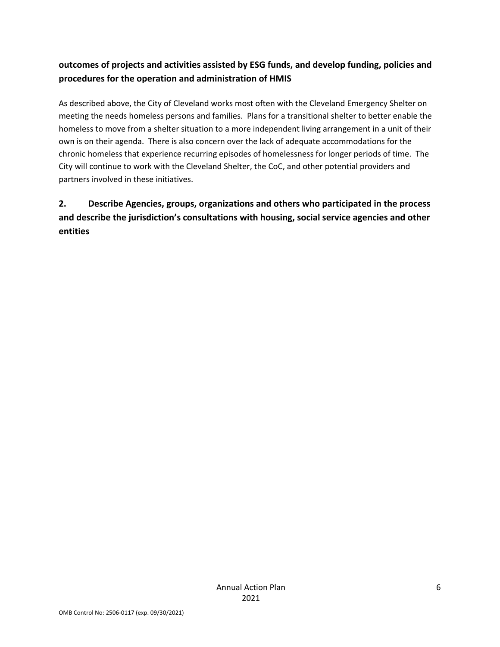## **outcomes of projects and activities assisted by ESG funds, and develop funding, policies and procedures for the operation and administration of HMIS**

As described above, the City of Cleveland works most often with the Cleveland Emergency Shelter on meeting the needs homeless persons and families. Plans for a transitional shelter to better enable the homeless to move from a shelter situation to a more independent living arrangement in a unit of their own is on their agenda. There is also concern over the lack of adequate accommodations for the chronic homeless that experience recurring episodes of homelessness for longer periods of time. The City will continue to work with the Cleveland Shelter, the CoC, and other potential providers and partners involved in these initiatives.

## **2. Describe Agencies, groups, organizations and others who participated in the process and describe the jurisdiction's consultations with housing, social service agencies and other entities**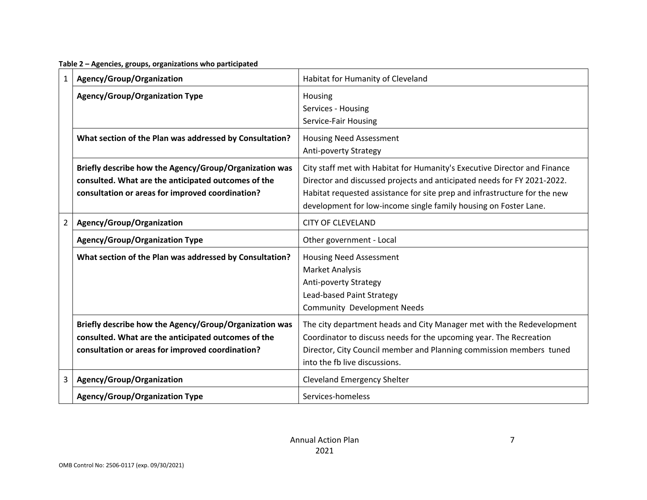**Table 2 – Agencies, groups, organizations who participated**

| $\mathbf{1}$   | Agency/Group/Organization                                                                                                                                         | Habitat for Humanity of Cleveland                                                                                                                                                                                                                                                                     |
|----------------|-------------------------------------------------------------------------------------------------------------------------------------------------------------------|-------------------------------------------------------------------------------------------------------------------------------------------------------------------------------------------------------------------------------------------------------------------------------------------------------|
|                | <b>Agency/Group/Organization Type</b>                                                                                                                             | Housing<br>Services - Housing<br>Service-Fair Housing                                                                                                                                                                                                                                                 |
|                | What section of the Plan was addressed by Consultation?                                                                                                           | <b>Housing Need Assessment</b><br><b>Anti-poverty Strategy</b>                                                                                                                                                                                                                                        |
|                | Briefly describe how the Agency/Group/Organization was<br>consulted. What are the anticipated outcomes of the<br>consultation or areas for improved coordination? | City staff met with Habitat for Humanity's Executive Director and Finance<br>Director and discussed projects and anticipated needs for FY 2021-2022.<br>Habitat requested assistance for site prep and infrastructure for the new<br>development for low-income single family housing on Foster Lane. |
| $\overline{2}$ | Agency/Group/Organization                                                                                                                                         | <b>CITY OF CLEVELAND</b>                                                                                                                                                                                                                                                                              |
|                | Agency/Group/Organization Type                                                                                                                                    | Other government - Local                                                                                                                                                                                                                                                                              |
|                | What section of the Plan was addressed by Consultation?                                                                                                           | <b>Housing Need Assessment</b><br><b>Market Analysis</b><br>Anti-poverty Strategy<br>Lead-based Paint Strategy<br><b>Community Development Needs</b>                                                                                                                                                  |
|                | Briefly describe how the Agency/Group/Organization was<br>consulted. What are the anticipated outcomes of the<br>consultation or areas for improved coordination? | The city department heads and City Manager met with the Redevelopment<br>Coordinator to discuss needs for the upcoming year. The Recreation<br>Director, City Council member and Planning commission members tuned<br>into the fb live discussions.                                                   |
| 3              | Agency/Group/Organization                                                                                                                                         | <b>Cleveland Emergency Shelter</b>                                                                                                                                                                                                                                                                    |
|                | <b>Agency/Group/Organization Type</b>                                                                                                                             | Services-homeless                                                                                                                                                                                                                                                                                     |

7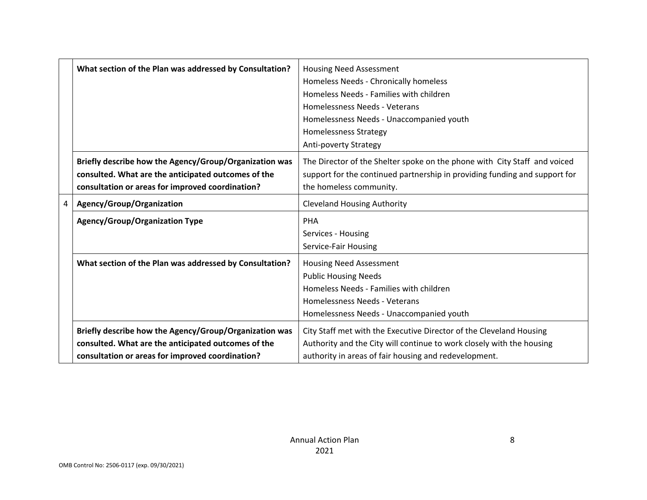|   | What section of the Plan was addressed by Consultation? | <b>Housing Need Assessment</b>                                             |
|---|---------------------------------------------------------|----------------------------------------------------------------------------|
|   |                                                         | Homeless Needs - Chronically homeless                                      |
|   |                                                         | Homeless Needs - Families with children                                    |
|   |                                                         | Homelessness Needs - Veterans                                              |
|   |                                                         | Homelessness Needs - Unaccompanied youth                                   |
|   |                                                         | <b>Homelessness Strategy</b>                                               |
|   |                                                         | <b>Anti-poverty Strategy</b>                                               |
|   | Briefly describe how the Agency/Group/Organization was  | The Director of the Shelter spoke on the phone with City Staff and voiced  |
|   | consulted. What are the anticipated outcomes of the     | support for the continued partnership in providing funding and support for |
|   | consultation or areas for improved coordination?        | the homeless community.                                                    |
| 4 | Agency/Group/Organization                               | <b>Cleveland Housing Authority</b>                                         |
|   | <b>Agency/Group/Organization Type</b>                   | <b>PHA</b>                                                                 |
|   |                                                         | Services - Housing                                                         |
|   |                                                         | Service-Fair Housing                                                       |
|   | What section of the Plan was addressed by Consultation? | <b>Housing Need Assessment</b>                                             |
|   |                                                         | <b>Public Housing Needs</b>                                                |
|   |                                                         | Homeless Needs - Families with children                                    |
|   |                                                         | Homelessness Needs - Veterans                                              |
|   |                                                         | Homelessness Needs - Unaccompanied youth                                   |
|   | Briefly describe how the Agency/Group/Organization was  | City Staff met with the Executive Director of the Cleveland Housing        |
|   | consulted. What are the anticipated outcomes of the     | Authority and the City will continue to work closely with the housing      |
|   | consultation or areas for improved coordination?        | authority in areas of fair housing and redevelopment.                      |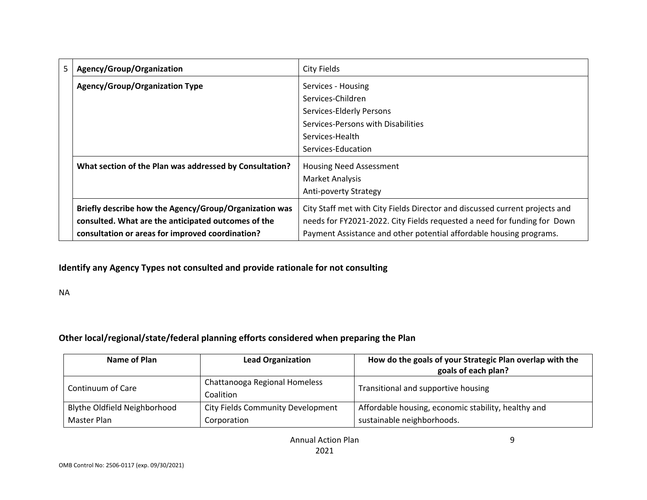| 5 | Agency/Group/Organization                               | City Fields                                                                 |
|---|---------------------------------------------------------|-----------------------------------------------------------------------------|
|   | <b>Agency/Group/Organization Type</b>                   | Services - Housing                                                          |
|   |                                                         | Services-Children                                                           |
|   |                                                         | Services-Elderly Persons                                                    |
|   |                                                         | Services-Persons with Disabilities                                          |
|   |                                                         | Services-Health                                                             |
|   |                                                         | Services-Education                                                          |
|   | What section of the Plan was addressed by Consultation? | <b>Housing Need Assessment</b>                                              |
|   |                                                         | Market Analysis                                                             |
|   |                                                         | Anti-poverty Strategy                                                       |
|   | Briefly describe how the Agency/Group/Organization was  | City Staff met with City Fields Director and discussed current projects and |
|   | consulted. What are the anticipated outcomes of the     | needs for FY2021-2022. City Fields requested a need for funding for Down    |
|   | consultation or areas for improved coordination?        | Payment Assistance and other potential affordable housing programs.         |

#### **Identify any Agency Types not consulted and provide rationale for not consulting**

NA

#### **Other local/regional/state/federal planning efforts considered when preparing the Plan**

| Name of Plan                 | <b>Lead Organization</b>                   | How do the goals of your Strategic Plan overlap with the<br>goals of each plan? |
|------------------------------|--------------------------------------------|---------------------------------------------------------------------------------|
| Continuum of Care            | Chattanooga Regional Homeless<br>Coalition | Transitional and supportive housing                                             |
| Blythe Oldfield Neighborhood | City Fields Community Development          | Affordable housing, economic stability, healthy and                             |
| Master Plan                  | Corporation                                | sustainable neighborhoods.                                                      |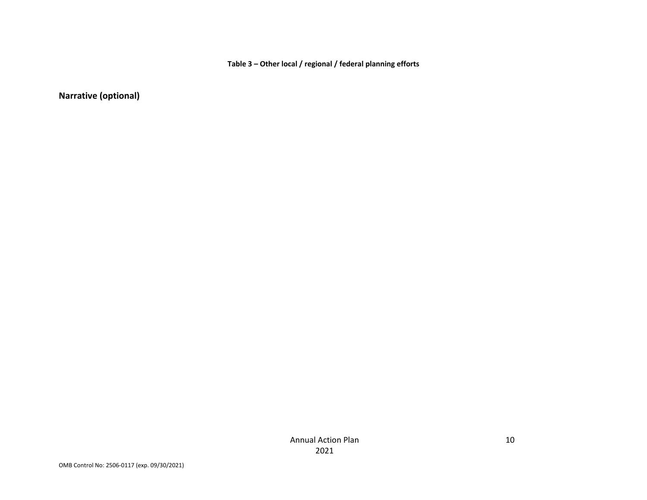**Table 3 – Other local / regional / federal planning efforts**

**Narrative (optional)**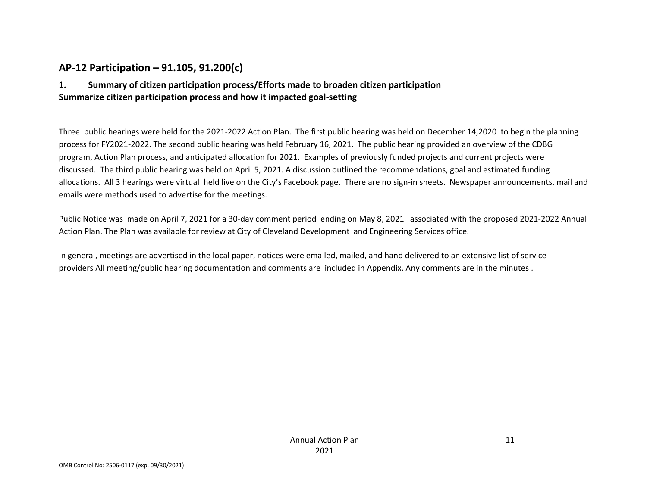### **AP‐12 Participation – 91.105, 91.200(c)**

#### **1. Summary of citizen participation process/Efforts made to broaden citizen participation Summarize citizen participation process and how it impacted goal‐setting**

Three public hearings were held for the 2021‐2022 Action Plan. The first public hearing was held on December 14,2020 to begin the planning process for FY2021‐2022. The second public hearing was held February 16, 2021. The public hearing provided an overview of the CDBG program, Action Plan process, and anticipated allocation for 2021. Examples of previously funded projects and current projects were discussed. The third public hearing was held on April 5, 2021. A discussion outlined the recommendations, goal and estimated funding allocations. All 3 hearings were virtual held live on the City's Facebook page. There are no sign-in sheets. Newspaper announcements, mail and emails were methods used to advertise for the meetings.

Public Notice was made on April 7, 2021 for <sup>a</sup> 30‐day comment period ending on May 8, 2021 associated with the proposed 2021‐2022 Annual Action Plan. The Plan was available for review at City of Cleveland Development and Engineering Services office.

In general, meetings are advertised in the local paper, notices were emailed, mailed, and hand delivered to an extensive list of service providers All meeting/public hearing documentation and comments are included in Appendix. Any comments are in the minutes .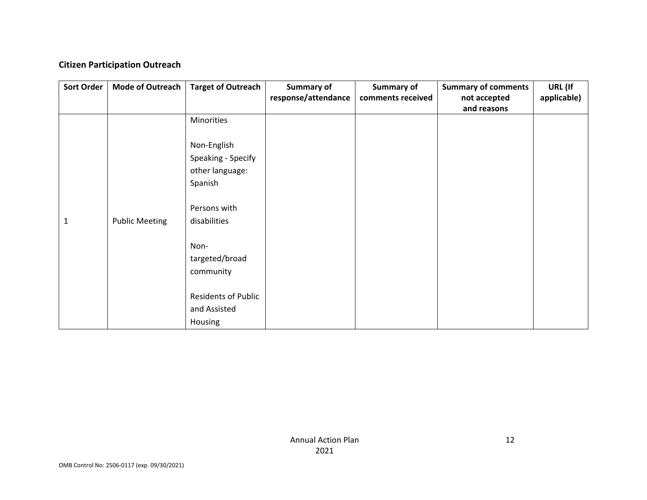#### **Citizen Participation Outreach**

| <b>Sort Order</b> | Mode of Outreach      | <b>Target of Outreach</b>  | Summary of          | Summary of        | <b>Summary of comments</b> | URL (If     |
|-------------------|-----------------------|----------------------------|---------------------|-------------------|----------------------------|-------------|
|                   |                       |                            | response/attendance | comments received | not accepted               | applicable) |
|                   |                       |                            |                     |                   | and reasons                |             |
|                   |                       | Minorities                 |                     |                   |                            |             |
|                   |                       |                            |                     |                   |                            |             |
|                   |                       | Non-English                |                     |                   |                            |             |
|                   |                       | Speaking - Specify         |                     |                   |                            |             |
|                   |                       | other language:            |                     |                   |                            |             |
|                   |                       | Spanish                    |                     |                   |                            |             |
|                   |                       |                            |                     |                   |                            |             |
|                   |                       | Persons with               |                     |                   |                            |             |
| 1                 | <b>Public Meeting</b> | disabilities               |                     |                   |                            |             |
|                   |                       |                            |                     |                   |                            |             |
|                   |                       | Non-                       |                     |                   |                            |             |
|                   |                       | targeted/broad             |                     |                   |                            |             |
|                   |                       | community                  |                     |                   |                            |             |
|                   |                       |                            |                     |                   |                            |             |
|                   |                       | <b>Residents of Public</b> |                     |                   |                            |             |
|                   |                       | and Assisted               |                     |                   |                            |             |
|                   |                       | Housing                    |                     |                   |                            |             |
|                   |                       |                            |                     |                   |                            |             |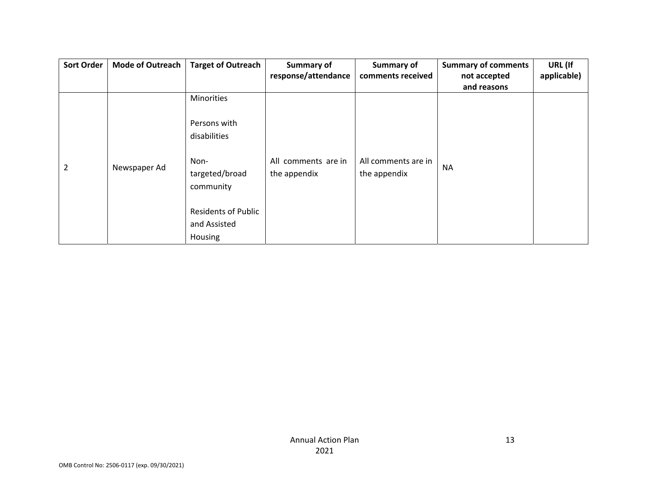| <b>Sort Order</b> | Mode of Outreach | <b>Target of Outreach</b>  | Summary of          | Summary of          | <b>Summary of comments</b> | URL (If     |
|-------------------|------------------|----------------------------|---------------------|---------------------|----------------------------|-------------|
|                   |                  |                            | response/attendance | comments received   | not accepted               | applicable) |
|                   |                  |                            |                     |                     | and reasons                |             |
|                   |                  | <b>Minorities</b>          |                     |                     |                            |             |
|                   |                  | Persons with               |                     |                     |                            |             |
|                   |                  | disabilities               |                     |                     |                            |             |
| $\overline{2}$    | Newspaper Ad     | Non-                       | All comments are in | All comments are in | <b>NA</b>                  |             |
|                   |                  | targeted/broad             | the appendix        | the appendix        |                            |             |
|                   |                  | community                  |                     |                     |                            |             |
|                   |                  | <b>Residents of Public</b> |                     |                     |                            |             |
|                   |                  | and Assisted               |                     |                     |                            |             |
|                   |                  | Housing                    |                     |                     |                            |             |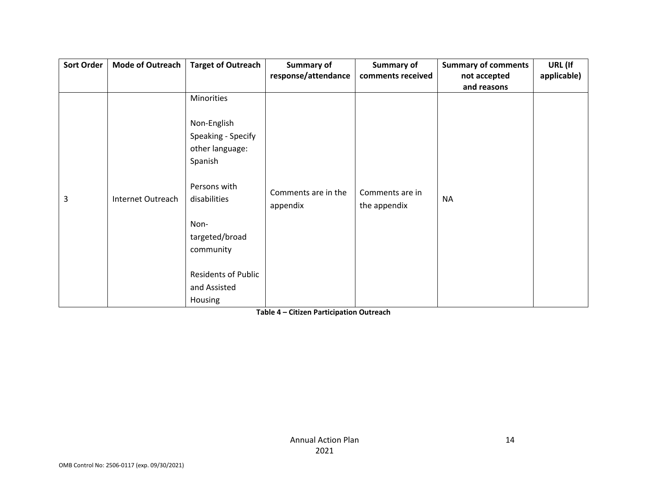| <b>Sort Order</b> | <b>Mode of Outreach</b> | <b>Target of Outreach</b>                                       | <b>Summary of</b>               | Summary of                      | <b>Summary of comments</b> | URL (If     |
|-------------------|-------------------------|-----------------------------------------------------------------|---------------------------------|---------------------------------|----------------------------|-------------|
|                   |                         |                                                                 | response/attendance             | comments received               | not accepted               | applicable) |
|                   |                         |                                                                 |                                 |                                 | and reasons                |             |
|                   |                         | Minorities                                                      |                                 |                                 |                            |             |
|                   |                         | Non-English<br>Speaking - Specify<br>other language:<br>Spanish |                                 |                                 |                            |             |
| 3                 | Internet Outreach       | Persons with<br>disabilities                                    | Comments are in the<br>appendix | Comments are in<br>the appendix | <b>NA</b>                  |             |
|                   |                         | Non-<br>targeted/broad<br>community                             |                                 |                                 |                            |             |
|                   |                         | <b>Residents of Public</b><br>and Assisted<br>Housing           |                                 |                                 |                            |             |

**Table 4 – Citizen Participation Outreach**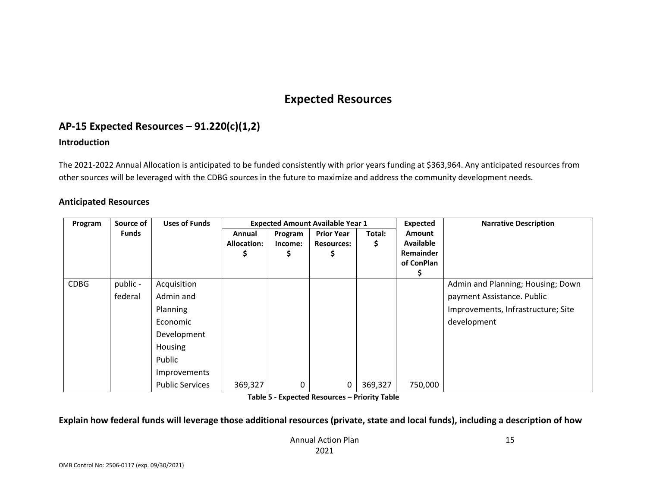## **Expected Resources**

## **AP‐15 Expected Resources – 91.220(c)(1,2)**

#### **Introduction**

The 2021‐2022 Annual Allocation is anticipated to be funded consistently with prior years funding at \$363,964. Any anticipated resources from other sources will be leveraged with the CDBG sources in the future to maximize and address the community development needs.

#### **Anticipated Resources**

| Program     | Source of           | <b>Uses of Funds</b>                                                                                                           |                              | <b>Expected Amount Available Year 1</b> |                                        |              |                                                                     | <b>Narrative Description</b>                                                                                         |
|-------------|---------------------|--------------------------------------------------------------------------------------------------------------------------------|------------------------------|-----------------------------------------|----------------------------------------|--------------|---------------------------------------------------------------------|----------------------------------------------------------------------------------------------------------------------|
|             | <b>Funds</b>        |                                                                                                                                | Annual<br><b>Allocation:</b> | Program<br>Income:<br>⋗                 | <b>Prior Year</b><br><b>Resources:</b> | Total:<br>\$ | <b>Amount</b><br><b>Available</b><br><b>Remainder</b><br>of ConPlan |                                                                                                                      |
| <b>CDBG</b> | public -<br>federal | Acquisition<br>Admin and<br>Planning<br>Economic<br>Development<br>Housing<br>Public<br>Improvements<br><b>Public Services</b> | 369,327                      | 0                                       | 0                                      | 369,327      | 750,000                                                             | Admin and Planning; Housing; Down<br>payment Assistance. Public<br>Improvements, Infrastructure; Site<br>development |

**Table 5 ‐ Expected Resources – Priority Table**

#### Explain how federal funds will leverage those additional resources (private, state and local funds), including a description of how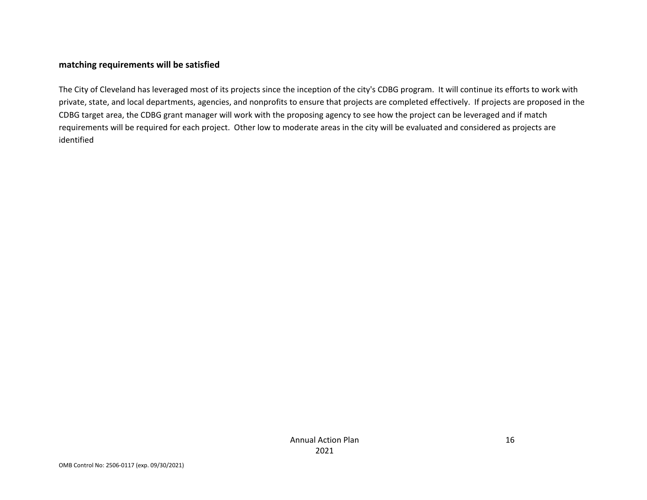#### **matching requirements will be satisfied**

The City of Cleveland has leveraged most of its projects since the inception of the city's CDBG program. It will continue its efforts to work with private, state, and local departments, agencies, and nonprofits to ensure that projects are completed effectively. If projects are proposed in the CDBG target area, the CDBG grant manager will work with the proposing agency to see how the project can be leveraged and if match requirements will be required for each project. Other low to moderate areas in the city will be evaluated and considered as projects are identified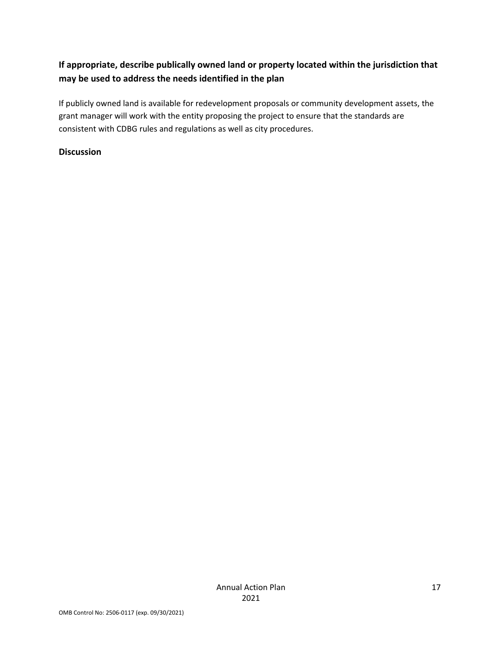## **If appropriate, describe publically owned land or property located within the jurisdiction that may be used to address the needs identified in the plan**

If publicly owned land is available for redevelopment proposals or community development assets, the grant manager will work with the entity proposing the project to ensure that the standards are consistent with CDBG rules and regulations as well as city procedures.

#### **Discussion**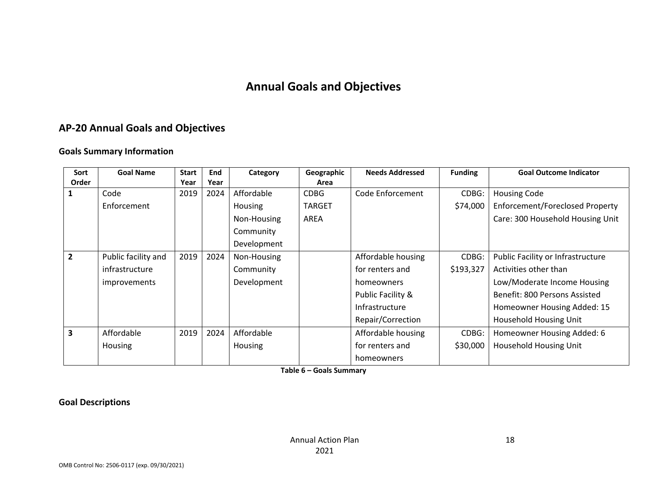## **Annual Goals and Objectives**

### **AP‐20 Annual Goals and Objectives**

#### **Goals Summary Information**

| Sort           | <b>Goal Name</b>    | <b>Start</b> | End  | Category       | Geographic    | <b>Needs Addressed</b> | <b>Funding</b> | <b>Goal Outcome Indicator</b>     |
|----------------|---------------------|--------------|------|----------------|---------------|------------------------|----------------|-----------------------------------|
| Order          |                     | Year         | Year |                | Area          |                        |                |                                   |
|                | Code                | 2019         | 2024 | Affordable     | <b>CDBG</b>   | Code Enforcement       | CDBG:          | <b>Housing Code</b>               |
|                | Enforcement         |              |      | Housing        | <b>TARGET</b> |                        | \$74,000       | Enforcement/Foreclosed Property   |
|                |                     |              |      | Non-Housing    | <b>AREA</b>   |                        |                | Care: 300 Household Housing Unit  |
|                |                     |              |      | Community      |               |                        |                |                                   |
|                |                     |              |      | Development    |               |                        |                |                                   |
| $\overline{2}$ | Public facility and | 2019         | 2024 | Non-Housing    |               | Affordable housing     | CDBG:          | Public Facility or Infrastructure |
|                | infrastructure      |              |      | Community      |               | for renters and        | \$193,327      | Activities other than             |
|                | <i>improvements</i> |              |      | Development    |               | homeowners             |                | Low/Moderate Income Housing       |
|                |                     |              |      |                |               | Public Facility &      |                | Benefit: 800 Persons Assisted     |
|                |                     |              |      |                |               | Infrastructure         |                | Homeowner Housing Added: 15       |
|                |                     |              |      |                |               | Repair/Correction      |                | Household Housing Unit            |
| 3              | Affordable          | 2019         | 2024 | Affordable     |               | Affordable housing     | CDBG:          | Homeowner Housing Added: 6        |
|                | <b>Housing</b>      |              |      | <b>Housing</b> |               | for renters and        | \$30,000       | Household Housing Unit            |
|                |                     |              |      |                |               | homeowners             |                |                                   |

**Table 6 – Goals Summary**

**Goal Descriptions**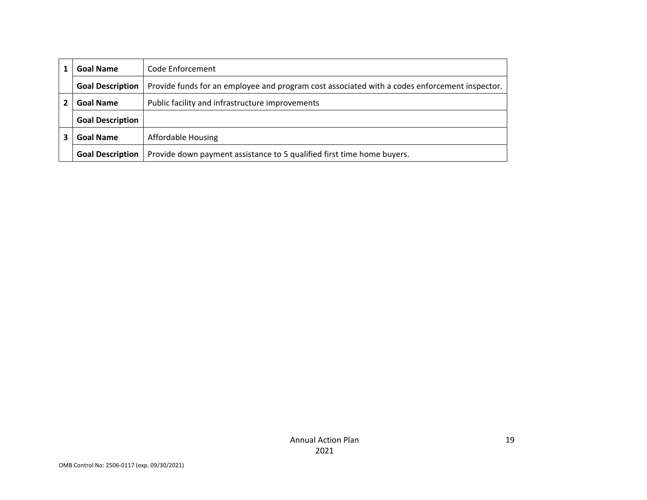| <b>Goal Name</b>        | Code Enforcement                                                                              |
|-------------------------|-----------------------------------------------------------------------------------------------|
| <b>Goal Description</b> | Provide funds for an employee and program cost associated with a codes enforcement inspector. |
| <b>Goal Name</b>        | Public facility and infrastructure improvements                                               |
| <b>Goal Description</b> |                                                                                               |
| <b>Goal Name</b>        | <b>Affordable Housing</b>                                                                     |
| <b>Goal Description</b> | Provide down payment assistance to 5 qualified first time home buyers.                        |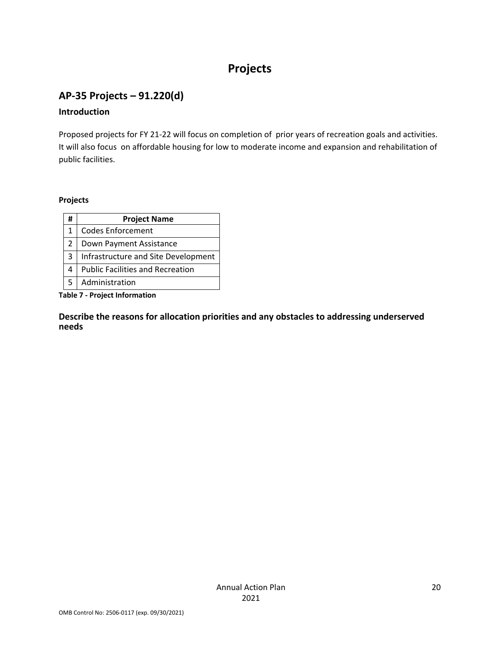# **Projects**

## **AP‐35 Projects – 91.220(d)**

#### **Introduction**

Proposed projects for FY 21‐22 will focus on completion of prior years of recreation goals and activities. It will also focus on affordable housing for low to moderate income and expansion and rehabilitation of public facilities.

#### **Projects**

| #            | <b>Project Name</b>                     |
|--------------|-----------------------------------------|
| $\mathbf{1}$ | <b>Codes Enforcement</b>                |
| 2            | Down Payment Assistance                 |
| 3            | Infrastructure and Site Development     |
|              | <b>Public Facilities and Recreation</b> |
|              | Administration                          |

**Table 7 ‐ Project Information**

**Describe the reasons for allocation priorities and any obstacles to addressing underserved needs**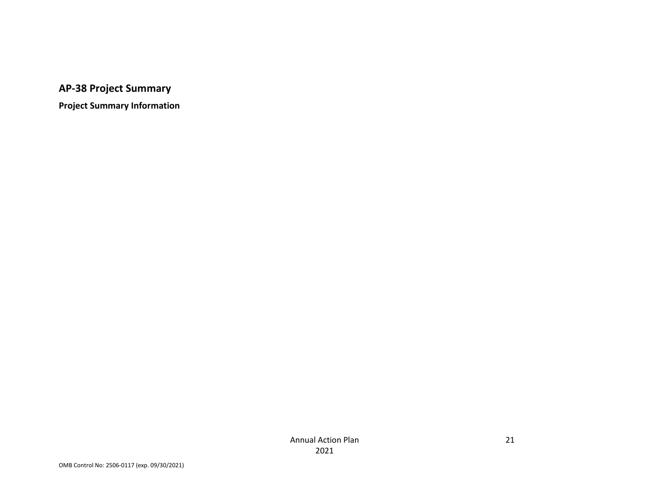**AP‐38 Project Summary**

**Project Summary Information**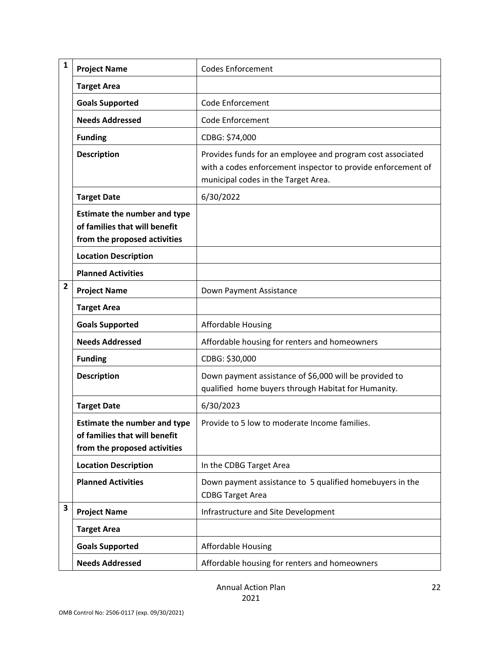| $\mathbf{1}$   | <b>Project Name</b>                                                                                  | <b>Codes Enforcement</b>                                                                                                                                          |
|----------------|------------------------------------------------------------------------------------------------------|-------------------------------------------------------------------------------------------------------------------------------------------------------------------|
|                | <b>Target Area</b>                                                                                   |                                                                                                                                                                   |
|                | <b>Goals Supported</b>                                                                               | Code Enforcement                                                                                                                                                  |
|                | <b>Needs Addressed</b>                                                                               | <b>Code Enforcement</b>                                                                                                                                           |
|                | <b>Funding</b>                                                                                       | CDBG: \$74,000                                                                                                                                                    |
|                | <b>Description</b>                                                                                   | Provides funds for an employee and program cost associated<br>with a codes enforcement inspector to provide enforcement of<br>municipal codes in the Target Area. |
|                | <b>Target Date</b>                                                                                   | 6/30/2022                                                                                                                                                         |
|                | <b>Estimate the number and type</b><br>of families that will benefit<br>from the proposed activities |                                                                                                                                                                   |
|                | <b>Location Description</b>                                                                          |                                                                                                                                                                   |
|                | <b>Planned Activities</b>                                                                            |                                                                                                                                                                   |
| $\overline{2}$ | <b>Project Name</b>                                                                                  | Down Payment Assistance                                                                                                                                           |
|                | <b>Target Area</b>                                                                                   |                                                                                                                                                                   |
|                | <b>Goals Supported</b>                                                                               | <b>Affordable Housing</b>                                                                                                                                         |
|                | <b>Needs Addressed</b>                                                                               | Affordable housing for renters and homeowners                                                                                                                     |
|                | <b>Funding</b>                                                                                       | CDBG: \$30,000                                                                                                                                                    |
|                | <b>Description</b>                                                                                   | Down payment assistance of \$6,000 will be provided to<br>qualified home buyers through Habitat for Humanity.                                                     |
|                | <b>Target Date</b>                                                                                   | 6/30/2023                                                                                                                                                         |
|                | <b>Estimate the number and type</b><br>of families that will benefit<br>from the proposed activities | Provide to 5 low to moderate Income families                                                                                                                      |
|                | <b>Location Description</b>                                                                          | In the CDBG Target Area                                                                                                                                           |
|                | <b>Planned Activities</b>                                                                            | Down payment assistance to 5 qualified homebuyers in the<br><b>CDBG Target Area</b>                                                                               |
| 3              | <b>Project Name</b>                                                                                  | Infrastructure and Site Development                                                                                                                               |
|                | <b>Target Area</b>                                                                                   |                                                                                                                                                                   |
|                | <b>Goals Supported</b>                                                                               | <b>Affordable Housing</b>                                                                                                                                         |
|                | <b>Needs Addressed</b>                                                                               | Affordable housing for renters and homeowners                                                                                                                     |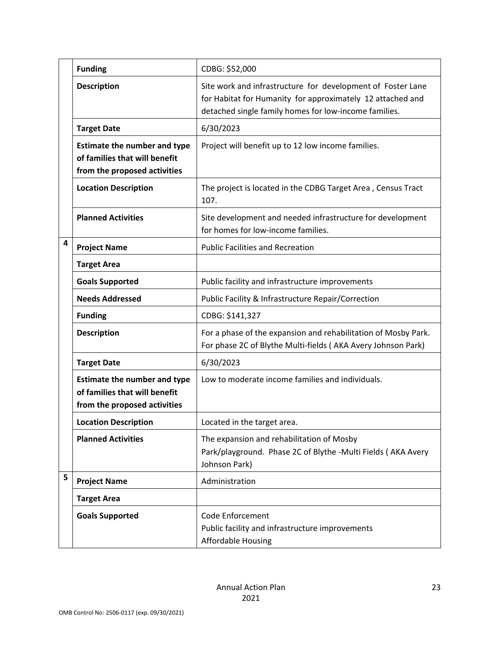|   | <b>Funding</b>                                                                                       | CDBG: \$52,000                                                                                                                                                                     |
|---|------------------------------------------------------------------------------------------------------|------------------------------------------------------------------------------------------------------------------------------------------------------------------------------------|
|   | <b>Description</b>                                                                                   | Site work and infrastructure for development of Foster Lane<br>for Habitat for Humanity for approximately 12 attached and<br>detached single family homes for low-income families. |
|   | <b>Target Date</b>                                                                                   | 6/30/2023                                                                                                                                                                          |
|   | <b>Estimate the number and type</b><br>of families that will benefit<br>from the proposed activities | Project will benefit up to 12 low income families.                                                                                                                                 |
|   | <b>Location Description</b>                                                                          | The project is located in the CDBG Target Area, Census Tract<br>107.                                                                                                               |
|   | <b>Planned Activities</b>                                                                            | Site development and needed infrastructure for development<br>for homes for low-income families.                                                                                   |
| 4 | <b>Project Name</b>                                                                                  | <b>Public Facilities and Recreation</b>                                                                                                                                            |
|   | <b>Target Area</b>                                                                                   |                                                                                                                                                                                    |
|   | <b>Goals Supported</b>                                                                               | Public facility and infrastructure improvements                                                                                                                                    |
|   | <b>Needs Addressed</b>                                                                               | Public Facility & Infrastructure Repair/Correction                                                                                                                                 |
|   | <b>Funding</b>                                                                                       | CDBG: \$141,327                                                                                                                                                                    |
|   | <b>Description</b>                                                                                   | For a phase of the expansion and rehabilitation of Mosby Park.<br>For phase 2C of Blythe Multi-fields (AKA Avery Johnson Park)                                                     |
|   | <b>Target Date</b>                                                                                   | 6/30/2023                                                                                                                                                                          |
|   | <b>Estimate the number and type</b><br>of families that will benefit<br>from the proposed activities | Low to moderate income families and individuals.                                                                                                                                   |
|   | <b>Location Description</b>                                                                          | Located in the target area.                                                                                                                                                        |
|   | <b>Planned Activities</b>                                                                            | The expansion and rehabilitation of Mosby<br>Park/playground. Phase 2C of Blythe -Multi Fields (AKA Avery<br>Johnson Park)                                                         |
| 5 | <b>Project Name</b>                                                                                  | Administration                                                                                                                                                                     |
|   | <b>Target Area</b>                                                                                   |                                                                                                                                                                                    |
|   | <b>Goals Supported</b>                                                                               | <b>Code Enforcement</b><br>Public facility and infrastructure improvements<br><b>Affordable Housing</b>                                                                            |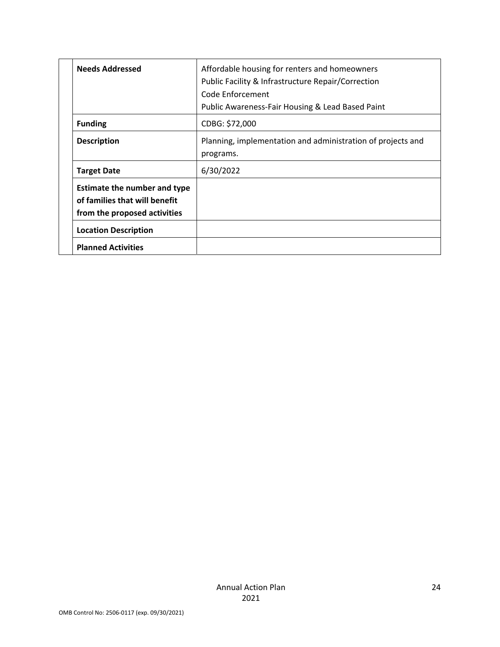| <b>Needs Addressed</b>                                                                        | Affordable housing for renters and homeowners<br>Public Facility & Infrastructure Repair/Correction<br>Code Enforcement<br>Public Awareness-Fair Housing & Lead Based Paint |
|-----------------------------------------------------------------------------------------------|-----------------------------------------------------------------------------------------------------------------------------------------------------------------------------|
| <b>Funding</b>                                                                                | CDBG: \$72,000                                                                                                                                                              |
| <b>Description</b>                                                                            | Planning, implementation and administration of projects and<br>programs.                                                                                                    |
| <b>Target Date</b>                                                                            | 6/30/2022                                                                                                                                                                   |
| Estimate the number and type<br>of families that will benefit<br>from the proposed activities |                                                                                                                                                                             |
| <b>Location Description</b>                                                                   |                                                                                                                                                                             |
| <b>Planned Activities</b>                                                                     |                                                                                                                                                                             |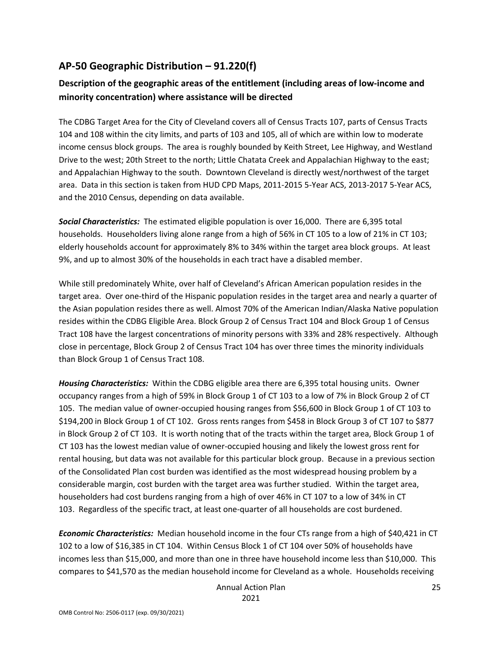## **AP‐50 Geographic Distribution – 91.220(f)**

## **Description of the geographic areas of the entitlement (including areas of low‐income and minority concentration) where assistance will be directed**

The CDBG Target Area for the City of Cleveland covers all of Census Tracts 107, parts of Census Tracts 104 and 108 within the city limits, and parts of 103 and 105, all of which are within low to moderate income census block groups. The area is roughly bounded by Keith Street, Lee Highway, and Westland Drive to the west; 20th Street to the north; Little Chatata Creek and Appalachian Highway to the east; and Appalachian Highway to the south. Downtown Cleveland is directly west/northwest of the target area. Data in this section is taken from HUD CPD Maps, 2011‐2015 5‐Year ACS, 2013‐2017 5‐Year ACS, and the 2010 Census, depending on data available.

*Social Characteristics:* The estimated eligible population is over 16,000. There are 6,395 total households. Householders living alone range from a high of 56% in CT 105 to a low of 21% in CT 103; elderly households account for approximately 8% to 34% within the target area block groups. At least 9%, and up to almost 30% of the households in each tract have a disabled member.

While still predominately White, over half of Cleveland's African American population resides in the target area. Over one‐third of the Hispanic population resides in the target area and nearly a quarter of the Asian population resides there as well. Almost 70% of the American Indian/Alaska Native population resides within the CDBG Eligible Area. Block Group 2 of Census Tract 104 and Block Group 1 of Census Tract 108 have the largest concentrations of minority persons with 33% and 28% respectively. Although close in percentage, Block Group 2 of Census Tract 104 has over three times the minority individuals than Block Group 1 of Census Tract 108.

*Housing Characteristics:* Within the CDBG eligible area there are 6,395 total housing units. Owner occupancy ranges from a high of 59% in Block Group 1 of CT 103 to a low of 7% in Block Group 2 of CT 105. The median value of owner‐occupied housing ranges from \$56,600 in Block Group 1 of CT 103 to \$194,200 in Block Group 1 of CT 102. Gross rents ranges from \$458 in Block Group 3 of CT 107 to \$877 in Block Group 2 of CT 103. It is worth noting that of the tracts within the target area, Block Group 1 of CT 103 has the lowest median value of owner‐occupied housing and likely the lowest gross rent for rental housing, but data was not available for this particular block group. Because in a previous section of the Consolidated Plan cost burden was identified as the most widespread housing problem by a considerable margin, cost burden with the target area was further studied. Within the target area, householders had cost burdens ranging from a high of over 46% in CT 107 to a low of 34% in CT 103. Regardless of the specific tract, at least one‐quarter of all households are cost burdened.

*Economic Characteristics:* Median household income in the four CTs range from a high of \$40,421 in CT 102 to a low of \$16,385 in CT 104. Within Census Block 1 of CT 104 over 50% of households have incomes less than \$15,000, and more than one in three have household income less than \$10,000. This compares to \$41,570 as the median household income for Cleveland as a whole. Households receiving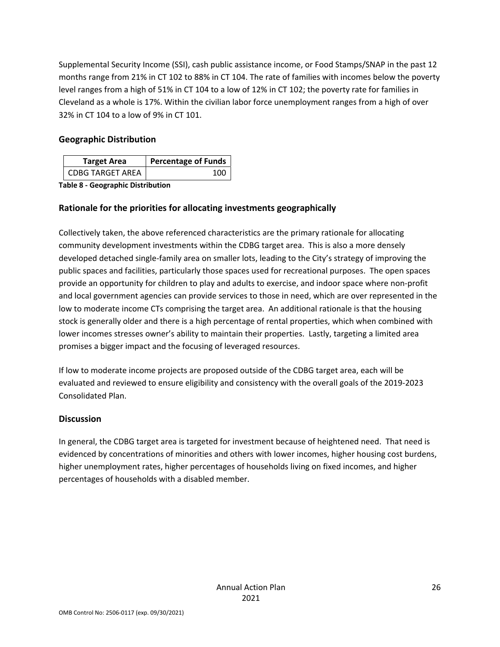Supplemental Security Income (SSI), cash public assistance income, or Food Stamps/SNAP in the past 12 months range from 21% in CT 102 to 88% in CT 104. The rate of families with incomes below the poverty level ranges from a high of 51% in CT 104 to a low of 12% in CT 102; the poverty rate for families in Cleveland as a whole is 17%. Within the civilian labor force unemployment ranges from a high of over 32% in CT 104 to a low of 9% in CT 101.

#### **Geographic Distribution**

| <b>Target Area</b>      | <b>Percentage of Funds</b> |
|-------------------------|----------------------------|
| <b>CDBG TARGET AREA</b> | 100                        |

**Table 8 ‐ Geographic Distribution** 

### **Rationale for the priorities for allocating investments geographically**

Collectively taken, the above referenced characteristics are the primary rationale for allocating community development investments within the CDBG target area. This is also a more densely developed detached single‐family area on smaller lots, leading to the City's strategy of improving the public spaces and facilities, particularly those spaces used for recreational purposes. The open spaces provide an opportunity for children to play and adults to exercise, and indoor space where non‐profit and local government agencies can provide services to those in need, which are over represented in the low to moderate income CTs comprising the target area. An additional rationale is that the housing stock is generally older and there is a high percentage of rental properties, which when combined with lower incomes stresses owner's ability to maintain their properties. Lastly, targeting a limited area promises a bigger impact and the focusing of leveraged resources.

If low to moderate income projects are proposed outside of the CDBG target area, each will be evaluated and reviewed to ensure eligibility and consistency with the overall goals of the 2019‐2023 Consolidated Plan.

#### **Discussion**

In general, the CDBG target area is targeted for investment because of heightened need. That need is evidenced by concentrations of minorities and others with lower incomes, higher housing cost burdens, higher unemployment rates, higher percentages of households living on fixed incomes, and higher percentages of households with a disabled member.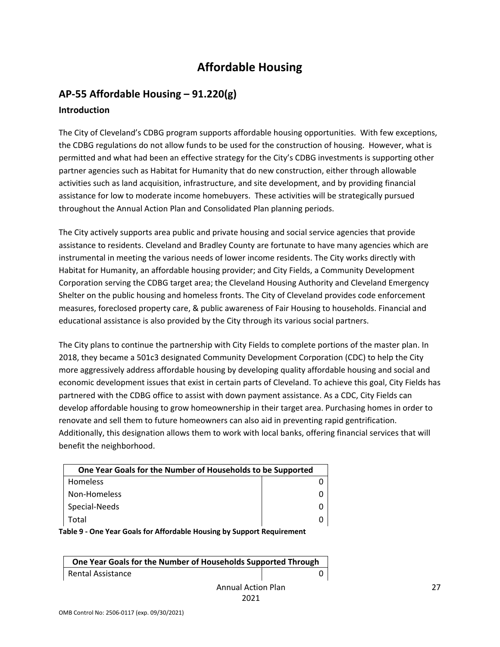# **Affordable Housing**

## **AP‐55 Affordable Housing – 91.220(g) Introduction**

The City of Cleveland's CDBG program supports affordable housing opportunities. With few exceptions, the CDBG regulations do not allow funds to be used for the construction of housing. However, what is permitted and what had been an effective strategy for the City's CDBG investments is supporting other partner agencies such as Habitat for Humanity that do new construction, either through allowable activities such as land acquisition, infrastructure, and site development, and by providing financial assistance for low to moderate income homebuyers. These activities will be strategically pursued throughout the Annual Action Plan and Consolidated Plan planning periods.

The City actively supports area public and private housing and social service agencies that provide assistance to residents. Cleveland and Bradley County are fortunate to have many agencies which are instrumental in meeting the various needs of lower income residents. The City works directly with Habitat for Humanity, an affordable housing provider; and City Fields, a Community Development Corporation serving the CDBG target area; the Cleveland Housing Authority and Cleveland Emergency Shelter on the public housing and homeless fronts. The City of Cleveland provides code enforcement measures, foreclosed property care, & public awareness of Fair Housing to households. Financial and educational assistance is also provided by the City through its various social partners.

The City plans to continue the partnership with City Fields to complete portions of the master plan. In 2018, they became a 501c3 designated Community Development Corporation (CDC) to help the City more aggressively address affordable housing by developing quality affordable housing and social and economic development issues that exist in certain parts of Cleveland. To achieve this goal, City Fields has partnered with the CDBG office to assist with down payment assistance. As a CDC, City Fields can develop affordable housing to grow homeownership in their target area. Purchasing homes in order to renovate and sell them to future homeowners can also aid in preventing rapid gentrification. Additionally, this designation allows them to work with local banks, offering financial services that will benefit the neighborhood.

| One Year Goals for the Number of Households to be Supported |  |
|-------------------------------------------------------------|--|
| Homeless                                                    |  |
| Non-Homeless                                                |  |
| Special-Needs                                               |  |
| Total                                                       |  |

**Table 9 ‐ One Year Goals for Affordable Housing by Support Requirement**

| One Year Goals for the Number of Households Supported Through |  |
|---------------------------------------------------------------|--|
| Rental Assistance                                             |  |
|                                                               |  |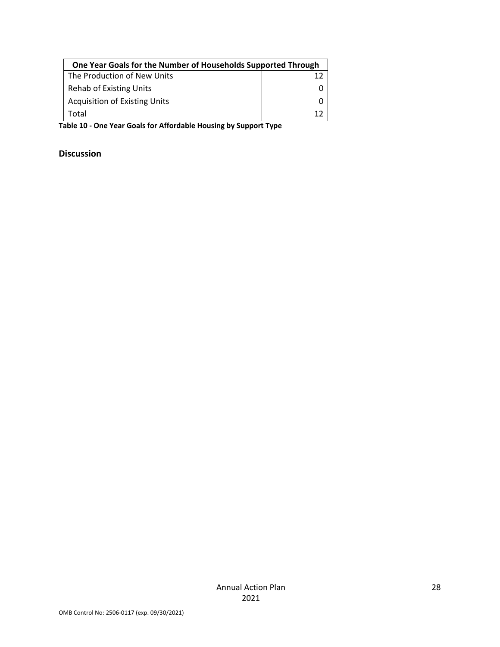| One Year Goals for the Number of Households Supported Through |     |
|---------------------------------------------------------------|-----|
| The Production of New Units                                   |     |
| <b>Rehab of Existing Units</b>                                |     |
| <b>Acquisition of Existing Units</b>                          |     |
| Total                                                         | 1 ว |

**Table 10 ‐ One Year Goals for Affordable Housing by Support Type**

#### **Discussion**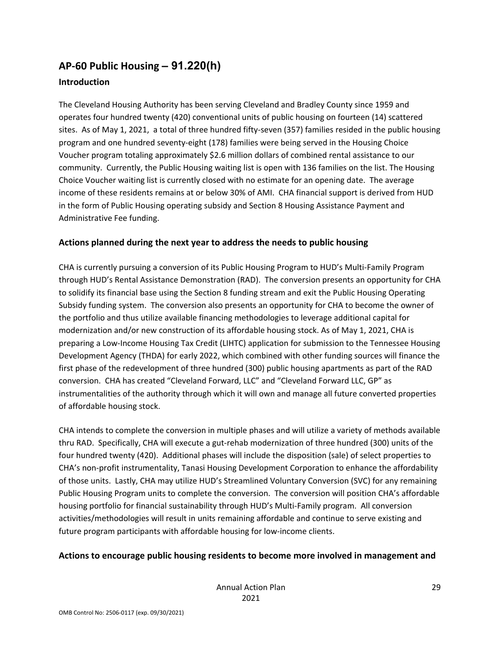# **AP‐60 Public Housing** *–* **91.220(h)**

### **Introduction**

The Cleveland Housing Authority has been serving Cleveland and Bradley County since 1959 and operates four hundred twenty (420) conventional units of public housing on fourteen (14) scattered sites. As of May 1, 2021, a total of three hundred fifty‐seven (357) families resided in the public housing program and one hundred seventy‐eight (178) families were being served in the Housing Choice Voucher program totaling approximately \$2.6 million dollars of combined rental assistance to our community. Currently, the Public Housing waiting list is open with 136 families on the list. The Housing Choice Voucher waiting list is currently closed with no estimate for an opening date. The average income of these residents remains at or below 30% of AMI. CHA financial support is derived from HUD in the form of Public Housing operating subsidy and Section 8 Housing Assistance Payment and Administrative Fee funding.

#### **Actions planned during the next year to address the needs to public housing**

CHA is currently pursuing a conversion of its Public Housing Program to HUD's Multi‐Family Program through HUD's Rental Assistance Demonstration (RAD). The conversion presents an opportunity for CHA to solidify its financial base using the Section 8 funding stream and exit the Public Housing Operating Subsidy funding system. The conversion also presents an opportunity for CHA to become the owner of the portfolio and thus utilize available financing methodologies to leverage additional capital for modernization and/or new construction of its affordable housing stock. As of May 1, 2021, CHA is preparing a Low‐Income Housing Tax Credit (LIHTC) application for submission to the Tennessee Housing Development Agency (THDA) for early 2022, which combined with other funding sources will finance the first phase of the redevelopment of three hundred (300) public housing apartments as part of the RAD conversion. CHA has created "Cleveland Forward, LLC" and "Cleveland Forward LLC, GP" as instrumentalities of the authority through which it will own and manage all future converted properties of affordable housing stock.

CHA intends to complete the conversion in multiple phases and will utilize a variety of methods available thru RAD. Specifically, CHA will execute a gut‐rehab modernization of three hundred (300) units of the four hundred twenty (420). Additional phases will include the disposition (sale) of select properties to CHA's non‐profit instrumentality, Tanasi Housing Development Corporation to enhance the affordability of those units. Lastly, CHA may utilize HUD's Streamlined Voluntary Conversion (SVC) for any remaining Public Housing Program units to complete the conversion. The conversion will position CHA's affordable housing portfolio for financial sustainability through HUD's Multi‐Family program. All conversion activities/methodologies will result in units remaining affordable and continue to serve existing and future program participants with affordable housing for low-income clients.

### **Actions to encourage public housing residents to become more involved in management and**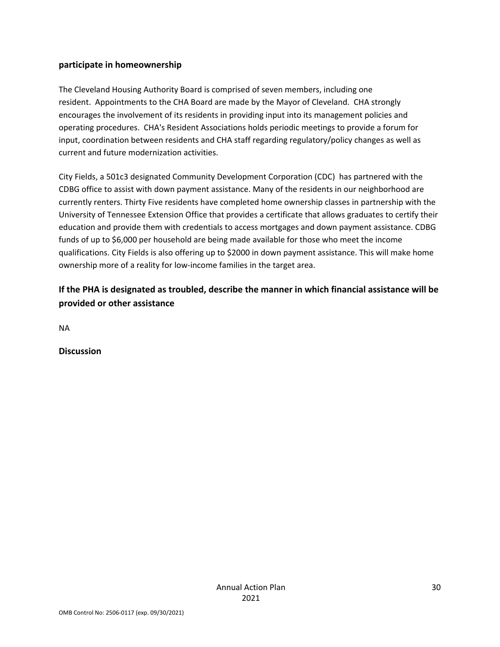#### **participate in homeownership**

The Cleveland Housing Authority Board is comprised of seven members, including one resident. Appointments to the CHA Board are made by the Mayor of Cleveland. CHA strongly encourages the involvement of its residents in providing input into its management policies and operating procedures. CHA's Resident Associations holds periodic meetings to provide a forum for input, coordination between residents and CHA staff regarding regulatory/policy changes as well as current and future modernization activities.

City Fields, a 501c3 designated Community Development Corporation (CDC) has partnered with the CDBG office to assist with down payment assistance. Many of the residents in our neighborhood are currently renters. Thirty Five residents have completed home ownership classes in partnership with the University of Tennessee Extension Office that provides a certificate that allows graduates to certify their education and provide them with credentials to access mortgages and down payment assistance. CDBG funds of up to \$6,000 per household are being made available for those who meet the income qualifications. City Fields is also offering up to \$2000 in down payment assistance. This will make home ownership more of a reality for low-income families in the target area.

### **If the PHA is designated as troubled, describe the manner in which financial assistance will be provided or other assistance**

NA

**Discussion**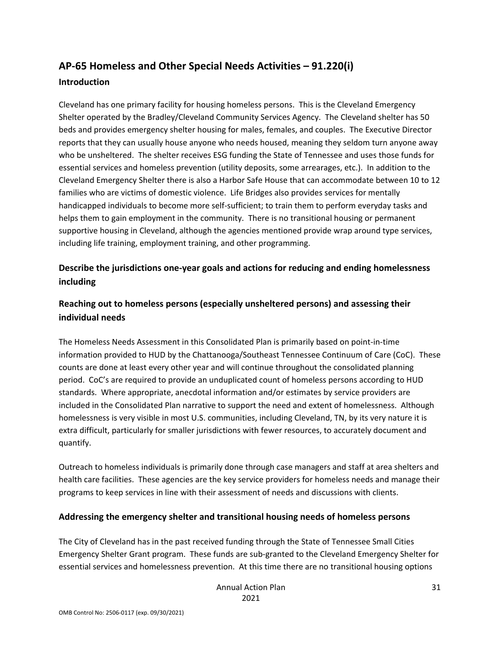## **AP‐65 Homeless and Other Special Needs Activities – 91.220(i) Introduction**

Cleveland has one primary facility for housing homeless persons. This is the Cleveland Emergency Shelter operated by the Bradley/Cleveland Community Services Agency. The Cleveland shelter has 50 beds and provides emergency shelter housing for males, females, and couples. The Executive Director reports that they can usually house anyone who needs housed, meaning they seldom turn anyone away who be unsheltered. The shelter receives ESG funding the State of Tennessee and uses those funds for essential services and homeless prevention (utility deposits, some arrearages, etc.). In addition to the Cleveland Emergency Shelter there is also a Harbor Safe House that can accommodate between 10 to 12 families who are victims of domestic violence. Life Bridges also provides services for mentally handicapped individuals to become more self‐sufficient; to train them to perform everyday tasks and helps them to gain employment in the community. There is no transitional housing or permanent supportive housing in Cleveland, although the agencies mentioned provide wrap around type services, including life training, employment training, and other programming.

### **Describe the jurisdictions one‐year goals and actions for reducing and ending homelessness including**

### **Reaching out to homeless persons (especially unsheltered persons) and assessing their individual needs**

The Homeless Needs Assessment in this Consolidated Plan is primarily based on point‐in‐time information provided to HUD by the Chattanooga/Southeast Tennessee Continuum of Care (CoC). These counts are done at least every other year and will continue throughout the consolidated planning period. CoC's are required to provide an unduplicated count of homeless persons according to HUD standards. Where appropriate, anecdotal information and/or estimates by service providers are included in the Consolidated Plan narrative to support the need and extent of homelessness. Although homelessness is very visible in most U.S. communities, including Cleveland, TN, by its very nature it is extra difficult, particularly for smaller jurisdictions with fewer resources, to accurately document and quantify.

Outreach to homeless individuals is primarily done through case managers and staff at area shelters and health care facilities. These agencies are the key service providers for homeless needs and manage their programs to keep services in line with their assessment of needs and discussions with clients.

#### **Addressing the emergency shelter and transitional housing needs of homeless persons**

The City of Cleveland has in the past received funding through the State of Tennessee Small Cities Emergency Shelter Grant program. These funds are sub‐granted to the Cleveland Emergency Shelter for essential services and homelessness prevention. At this time there are no transitional housing options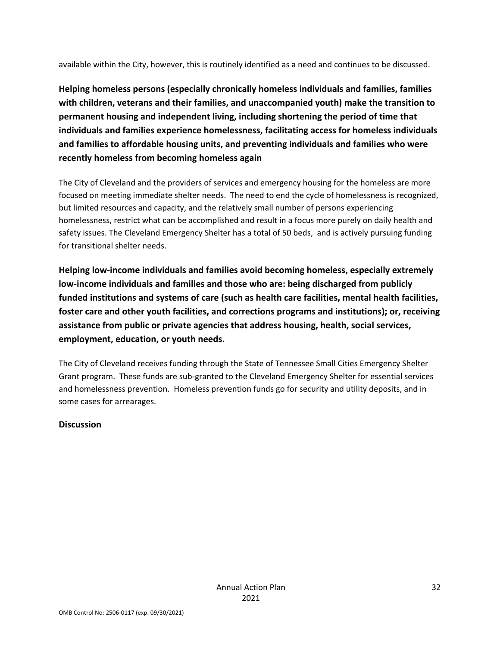available within the City, however, this is routinely identified as a need and continues to be discussed.

**Helping homeless persons (especially chronically homeless individuals and families, families with children, veterans and their families, and unaccompanied youth) make the transition to permanent housing and independent living, including shortening the period of time that individuals and families experience homelessness, facilitating access for homeless individuals and families to affordable housing units, and preventing individuals and families who were recently homeless from becoming homeless again**

The City of Cleveland and the providers of services and emergency housing for the homeless are more focused on meeting immediate shelter needs. The need to end the cycle of homelessness is recognized, but limited resources and capacity, and the relatively small number of persons experiencing homelessness, restrict what can be accomplished and result in a focus more purely on daily health and safety issues. The Cleveland Emergency Shelter has a total of 50 beds, and is actively pursuing funding for transitional shelter needs.

**Helping low‐income individuals and families avoid becoming homeless, especially extremely low‐income individuals and families and those who are: being discharged from publicly funded institutions and systems of care (such as health care facilities, mental health facilities, foster care and other youth facilities, and corrections programs and institutions); or, receiving assistance from public or private agencies that address housing, health, social services, employment, education, or youth needs.**

The City of Cleveland receives funding through the State of Tennessee Small Cities Emergency Shelter Grant program. These funds are sub‐granted to the Cleveland Emergency Shelter for essential services and homelessness prevention. Homeless prevention funds go for security and utility deposits, and in some cases for arrearages.

#### **Discussion**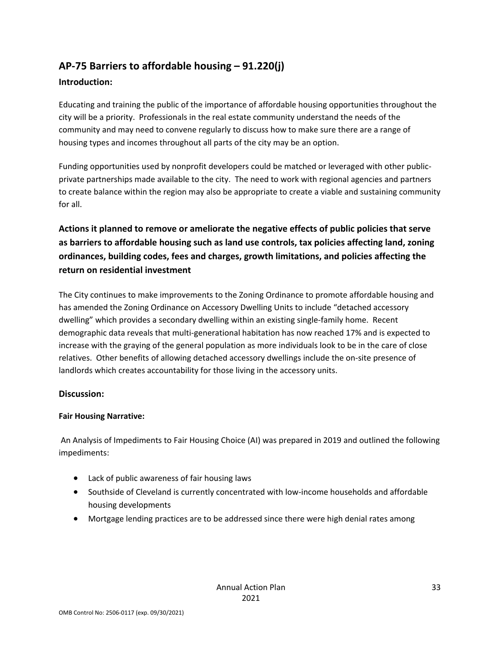## **AP‐75 Barriers to affordable housing – 91.220(j)**

#### **Introduction:**

Educating and training the public of the importance of affordable housing opportunities throughout the city will be a priority. Professionals in the real estate community understand the needs of the community and may need to convene regularly to discuss how to make sure there are a range of housing types and incomes throughout all parts of the city may be an option.

Funding opportunities used by nonprofit developers could be matched or leveraged with other public‐ private partnerships made available to the city. The need to work with regional agencies and partners to create balance within the region may also be appropriate to create a viable and sustaining community for all.

## **Actions it planned to remove or ameliorate the negative effects of public policies that serve as barriers to affordable housing such as land use controls, tax policies affecting land, zoning ordinances, building codes, fees and charges, growth limitations, and policies affecting the return on residential investment**

The City continues to make improvements to the Zoning Ordinance to promote affordable housing and has amended the Zoning Ordinance on Accessory Dwelling Units to include "detached accessory dwelling" which provides a secondary dwelling within an existing single‐family home. Recent demographic data reveals that multi‐generational habitation has now reached 17% and is expected to increase with the graying of the general population as more individuals look to be in the care of close relatives. Other benefits of allowing detached accessory dwellings include the on‐site presence of landlords which creates accountability for those living in the accessory units.

#### **Discussion:**

#### **Fair Housing Narrative:**

An Analysis of Impediments to Fair Housing Choice (AI) was prepared in 2019 and outlined the following impediments:

- Lack of public awareness of fair housing laws
- Southside of Cleveland is currently concentrated with low-income households and affordable housing developments
- Mortgage lending practices are to be addressed since there were high denial rates among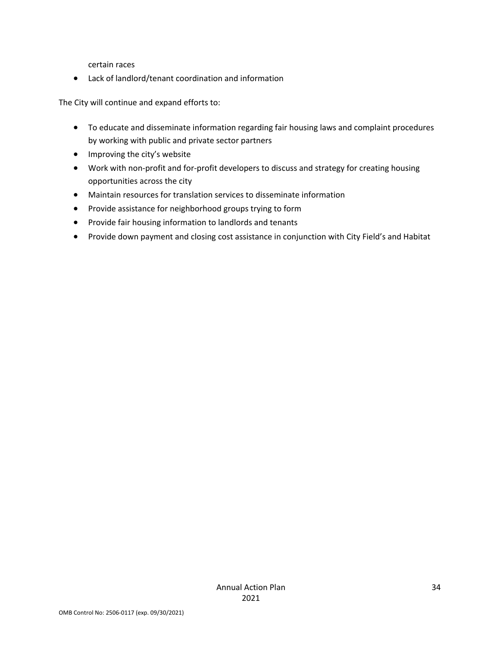certain races

Lack of landlord/tenant coordination and information

The City will continue and expand efforts to:

- To educate and disseminate information regarding fair housing laws and complaint procedures by working with public and private sector partners
- Improving the city's website
- Work with non-profit and for-profit developers to discuss and strategy for creating housing opportunities across the city
- Maintain resources for translation services to disseminate information
- Provide assistance for neighborhood groups trying to form
- Provide fair housing information to landlords and tenants
- Provide down payment and closing cost assistance in conjunction with City Field's and Habitat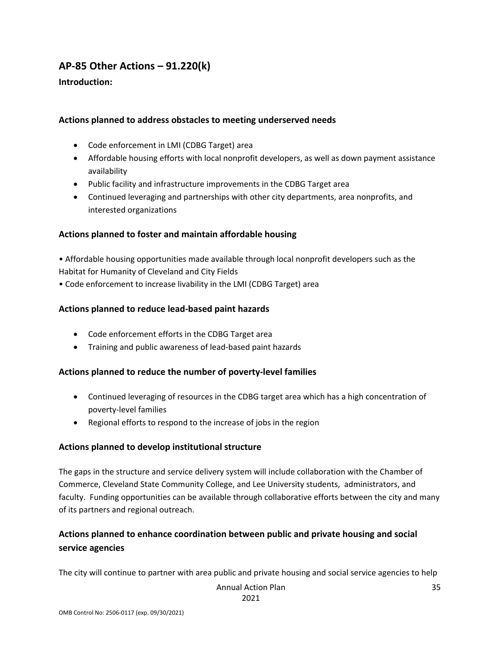## **AP‐85 Other Actions – 91.220(k)**

#### **Introduction:**

#### **Actions planned to address obstacles to meeting underserved needs**

- Code enforcement in LMI (CDBG Target) area
- Affordable housing efforts with local nonprofit developers, as well as down payment assistance availability
- Public facility and infrastructure improvements in the CDBG Target area
- Continued leveraging and partnerships with other city departments, area nonprofits, and interested organizations

#### **Actions planned to foster and maintain affordable housing**

• Affordable housing opportunities made available through local nonprofit developers such as the Habitat for Humanity of Cleveland and City Fields

• Code enforcement to increase livability in the LMI (CDBG Target) area

#### **Actions planned to reduce lead‐based paint hazards**

- Code enforcement efforts in the CDBG Target area
- Training and public awareness of lead‐based paint hazards

#### **Actions planned to reduce the number of poverty‐level families**

- Continued leveraging of resources in the CDBG target area which has a high concentration of poverty‐level families
- Regional efforts to respond to the increase of jobs in the region

#### **Actions planned to develop institutional structure**

The gaps in the structure and service delivery system will include collaboration with the Chamber of Commerce, Cleveland State Community College, and Lee University students, administrators, and faculty. Funding opportunities can be available through collaborative efforts between the city and many of its partners and regional outreach.

## **Actions planned to enhance coordination between public and private housing and social service agencies**

The city will continue to partner with area public and private housing and social service agencies to help

Annual Action Plan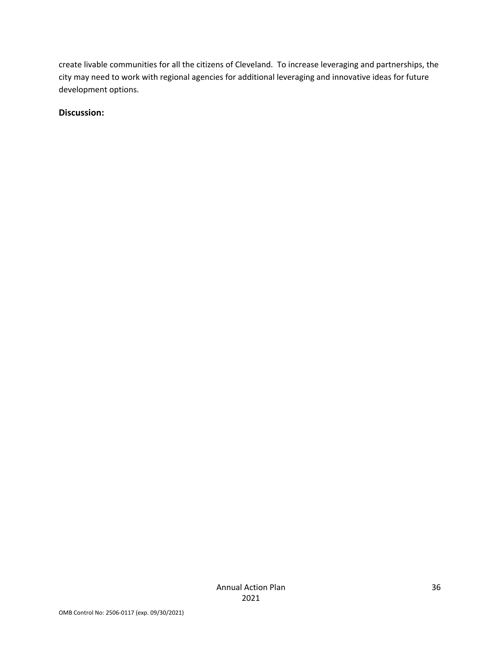create livable communities for all the citizens of Cleveland. To increase leveraging and partnerships, the city may need to work with regional agencies for additional leveraging and innovative ideas for future development options.

#### **Discussion:**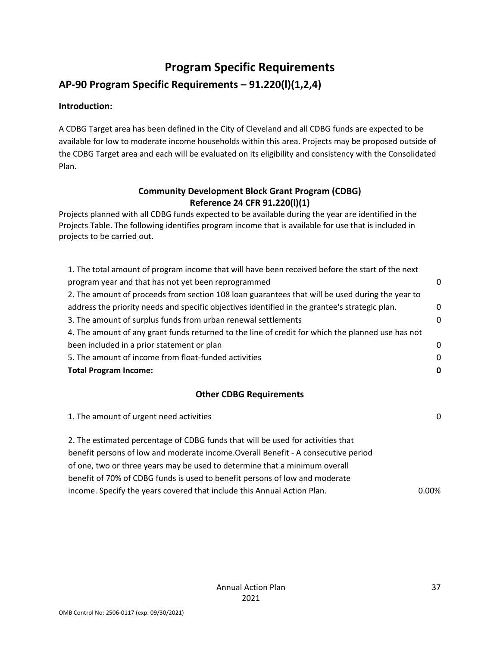## **Program Specific Requirements**

## **AP‐90 Program Specific Requirements – 91.220(l)(1,2,4)**

#### **Introduction:**

A CDBG Target area has been defined in the City of Cleveland and all CDBG funds are expected to be available for low to moderate income households within this area. Projects may be proposed outside of the CDBG Target area and each will be evaluated on its eligibility and consistency with the Consolidated Plan.

#### **Community Development Block Grant Program (CDBG) Reference 24 CFR 91.220(l)(1)**

Projects planned with all CDBG funds expected to be available during the year are identified in the Projects Table. The following identifies program income that is available for use that is included in projects to be carried out.

| 1. The total amount of program income that will have been received before the start of the next   |          |
|---------------------------------------------------------------------------------------------------|----------|
| program year and that has not yet been reprogrammed                                               | n        |
| 2. The amount of proceeds from section 108 loan guarantees that will be used during the year to   |          |
| address the priority needs and specific objectives identified in the grantee's strategic plan.    | 0        |
| 3. The amount of surplus funds from urban renewal settlements                                     | 0        |
| 4. The amount of any grant funds returned to the line of credit for which the planned use has not |          |
| been included in a prior statement or plan                                                        | $\Omega$ |
| 5. The amount of income from float-funded activities                                              | $\Omega$ |
| <b>Total Program Income:</b>                                                                      |          |

#### **Other CDBG Requirements**

| 1. The amount of urgent need activities                                            | 0     |
|------------------------------------------------------------------------------------|-------|
| 2. The estimated percentage of CDBG funds that will be used for activities that    |       |
| benefit persons of low and moderate income. Overall Benefit - A consecutive period |       |
| of one, two or three years may be used to determine that a minimum overall         |       |
| benefit of 70% of CDBG funds is used to benefit persons of low and moderate        |       |
| income. Specify the years covered that include this Annual Action Plan.            | 0.00% |